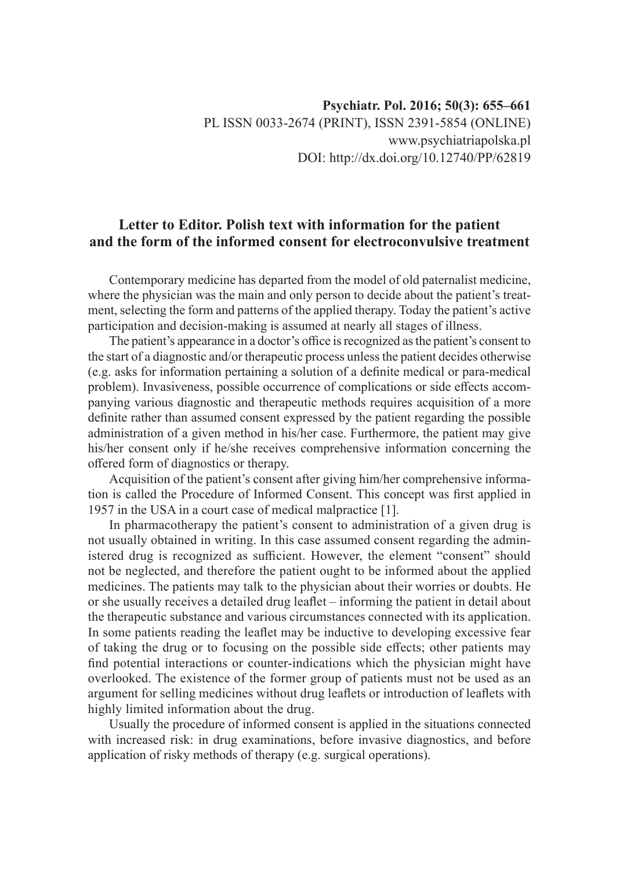# **Letter to Editor. Polish text with information for the patient and the form of the informed consent for electroconvulsive treatment**

Contemporary medicine has departed from the model of old paternalist medicine, where the physician was the main and only person to decide about the patient's treatment, selecting the form and patterns of the applied therapy. Today the patient's active participation and decision-making is assumed at nearly all stages of illness.

The patient's appearance in a doctor's office is recognized as the patient's consent to the start of a diagnostic and/or therapeutic process unless the patient decides otherwise (e.g. asks for information pertaining a solution of a definite medical or para-medical problem). Invasiveness, possible occurrence of complications or side effects accompanying various diagnostic and therapeutic methods requires acquisition of a more definite rather than assumed consent expressed by the patient regarding the possible administration of a given method in his/her case. Furthermore, the patient may give his/her consent only if he/she receives comprehensive information concerning the offered form of diagnostics or therapy.

Acquisition of the patient's consent after giving him/her comprehensive information is called the Procedure of Informed Consent. This concept was first applied in 1957 in the USA in a court case of medical malpractice [1].

In pharmacotherapy the patient's consent to administration of a given drug is not usually obtained in writing. In this case assumed consent regarding the administered drug is recognized as sufficient. However, the element "consent" should not be neglected, and therefore the patient ought to be informed about the applied medicines. The patients may talk to the physician about their worries or doubts. He or she usually receives a detailed drug leaflet – informing the patient in detail about the therapeutic substance and various circumstances connected with its application. In some patients reading the leaflet may be inductive to developing excessive fear of taking the drug or to focusing on the possible side effects; other patients may find potential interactions or counter-indications which the physician might have overlooked. The existence of the former group of patients must not be used as an argument for selling medicines without drug leaflets or introduction of leaflets with highly limited information about the drug.

Usually the procedure of informed consent is applied in the situations connected with increased risk: in drug examinations, before invasive diagnostics, and before application of risky methods of therapy (e.g. surgical operations).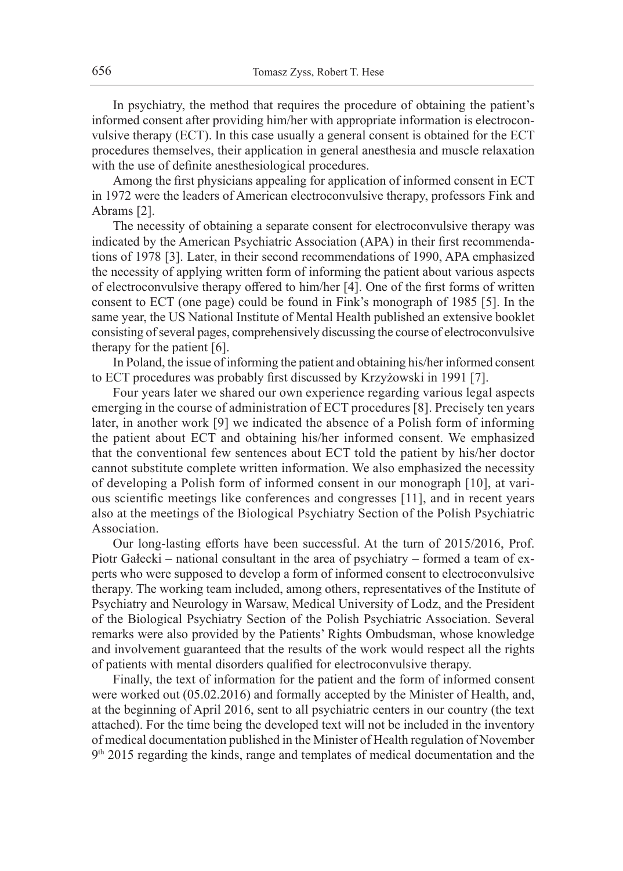In psychiatry, the method that requires the procedure of obtaining the patient's informed consent after providing him/her with appropriate information is electroconvulsive therapy (ECT). In this case usually a general consent is obtained for the ECT procedures themselves, their application in general anesthesia and muscle relaxation with the use of definite anesthesiological procedures.

Among the first physicians appealing for application of informed consent in ECT in 1972 were the leaders of American electroconvulsive therapy, professors Fink and Abrams [2].

The necessity of obtaining a separate consent for electroconvulsive therapy was indicated by the American Psychiatric Association (APA) in their first recommendations of 1978 [3]. Later, in their second recommendations of 1990, APA emphasized the necessity of applying written form of informing the patient about various aspects of electroconvulsive therapy offered to him/her [4]. One of the first forms of written consent to ECT (one page) could be found in Fink's monograph of 1985 [5]. In the same year, the US National Institute of Mental Health published an extensive booklet consisting of several pages, comprehensively discussing the course of electroconvulsive therapy for the patient [6].

In Poland, the issue of informing the patient and obtaining his/her informed consent to ECT procedures was probably first discussed by Krzyżowski in 1991 [7].

Four years later we shared our own experience regarding various legal aspects emerging in the course of administration of ECT procedures [8]. Precisely ten years later, in another work [9] we indicated the absence of a Polish form of informing the patient about ECT and obtaining his/her informed consent. We emphasized that the conventional few sentences about ECT told the patient by his/her doctor cannot substitute complete written information. We also emphasized the necessity of developing a Polish form of informed consent in our monograph [10], at various scientific meetings like conferences and congresses [11], and in recent years also at the meetings of the Biological Psychiatry Section of the Polish Psychiatric Association.

Our long-lasting efforts have been successful. At the turn of 2015/2016, Prof. Piotr Gałecki – national consultant in the area of psychiatry – formed a team of experts who were supposed to develop a form of informed consent to electroconvulsive therapy. The working team included, among others, representatives of the Institute of Psychiatry and Neurology in Warsaw, Medical University of Lodz, and the President of the Biological Psychiatry Section of the Polish Psychiatric Association. Several remarks were also provided by the Patients' Rights Ombudsman, whose knowledge and involvement guaranteed that the results of the work would respect all the rights of patients with mental disorders qualified for electroconvulsive therapy.

Finally, the text of information for the patient and the form of informed consent were worked out (05.02.2016) and formally accepted by the Minister of Health, and, at the beginning of April 2016, sent to all psychiatric centers in our country (the text attached). For the time being the developed text will not be included in the inventory of medical documentation published in the Minister of Health regulation of November  $9<sup>th</sup>$  2015 regarding the kinds, range and templates of medical documentation and the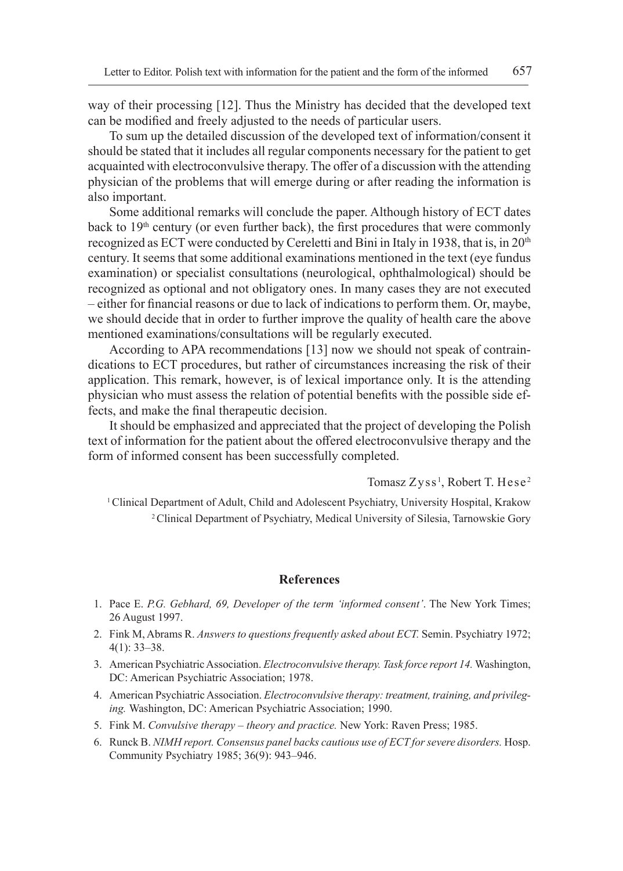way of their processing [12]. Thus the Ministry has decided that the developed text can be modified and freely adjusted to the needs of particular users.

To sum up the detailed discussion of the developed text of information/consent it should be stated that it includes all regular components necessary for the patient to get acquainted with electroconvulsive therapy. The offer of a discussion with the attending physician of the problems that will emerge during or after reading the information is also important.

Some additional remarks will conclude the paper. Although history of ECT dates back to  $19<sup>th</sup>$  century (or even further back), the first procedures that were commonly recognized as ECT were conducted by Cereletti and Bini in Italy in 1938, that is, in 20th century. It seems that some additional examinations mentioned in the text (eye fundus examination) or specialist consultations (neurological, ophthalmological) should be recognized as optional and not obligatory ones. In many cases they are not executed – either for financial reasons or due to lack of indications to perform them. Or, maybe, we should decide that in order to further improve the quality of health care the above mentioned examinations/consultations will be regularly executed.

According to APA recommendations [13] now we should not speak of contraindications to ECT procedures, but rather of circumstances increasing the risk of their application. This remark, however, is of lexical importance only. It is the attending physician who must assess the relation of potential benefits with the possible side effects, and make the final therapeutic decision.

It should be emphasized and appreciated that the project of developing the Polish text of information for the patient about the offered electroconvulsive therapy and the form of informed consent has been successfully completed.

Tomasz Zyss<sup>1</sup>, Robert T. Hese<sup>2</sup>

<sup>1</sup>Clinical Department of Adult, Child and Adolescent Psychiatry, University Hospital, Krakow 2 Clinical Department of Psychiatry, Medical University of Silesia, Tarnowskie Gory

#### **References**

- 1. Pace E. *P.G. Gebhard, 69, Developer of the term 'informed consent'*. The New York Times; 26 August 1997.
- 2. Fink M, Abrams R. *Answers to questions frequently asked about ECT.* Semin. Psychiatry 1972; 4(1): 33–38.
- 3. American Psychiatric Association. *Electroconvulsive therapy. Task force report 14.* Washington, DC: American Psychiatric Association; 1978.
- 4. American Psychiatric Association. *Electroconvulsive therapy: treatment, training, and privileging.* Washington, DC: American Psychiatric Association; 1990.
- 5. Fink M. *Convulsive therapy theory and practice.* New York: Raven Press; 1985.
- 6. Runck B. *NIMH report. Consensus panel backs cautious use of ECT for severe disorders.* Hosp. Community Psychiatry 1985; 36(9): 943–946.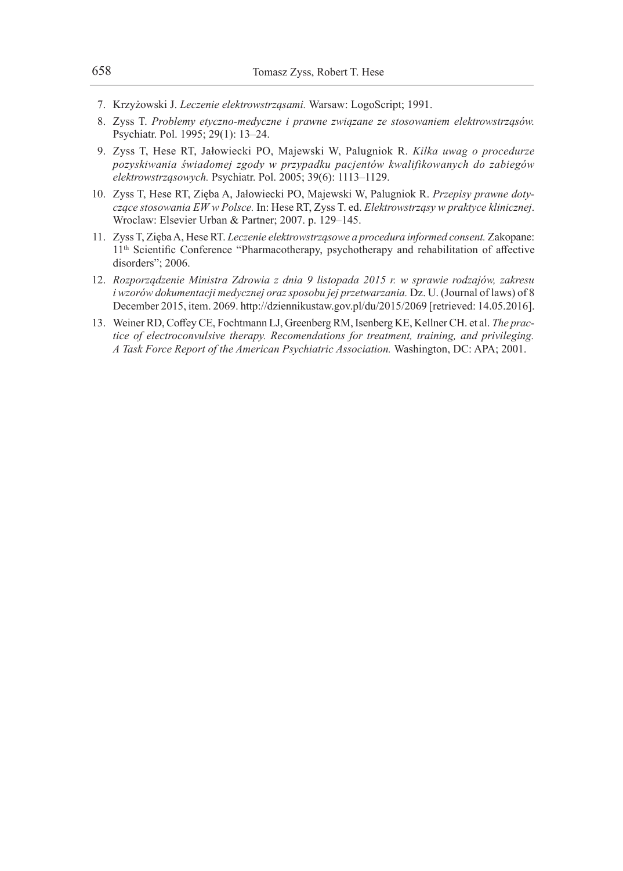- 7. Krzyżowski J. *Leczenie elektrowstrząsami.* Warsaw: LogoScript; 1991.
- 8. Zyss T. *Problemy etyczno-medyczne i prawne związane ze stosowaniem elektrowstrząsów.*  Psychiatr. Pol. 1995; 29(1): 13–24.
- 9. Zyss T, Hese RT, Jałowiecki PO, Majewski W, Palugniok R. *Kilka uwag o procedurze pozyskiwania świadomej zgody w przypadku pacjentów kwalifikowanych do zabiegów elektrowstrząsowych.* Psychiatr. Pol. 2005; 39(6): 1113–1129.
- 10. Zyss T, Hese RT, Zięba A, Jałowiecki PO, Majewski W, Palugniok R. *Przepisy prawne dotyczące stosowania EW w Polsce.* In: Hese RT, Zyss T. ed. *Elektrowstrząsy w praktyce klinicznej*. Wroclaw: Elsevier Urban & Partner; 2007. p. 129–145.
- 11. Zyss T, Zięba A, Hese RT. *Leczenie elektrowstrząsowe a procedura informed consent.* Zakopane: 11<sup>th</sup> Scientific Conference "Pharmacotherapy, psychotherapy and rehabilitation of affective disorders"; 2006.
- 12. *Rozporządzenie Ministra Zdrowia z dnia 9 listopada 2015 r. w sprawie rodzajów, zakresu i* wzorów dokumentacji medycznej oraz sposobu jej przetwarzania. Dz. U. (Journal of laws) of 8 December 2015, item. 2069. http://dziennikustaw.gov.pl/du/2015/2069 [retrieved: 14.05.2016].
- 13. Weiner RD, Coffey CE, Fochtmann LJ, Greenberg RM, Isenberg KE, Kellner CH. et al. *The practice of electroconvulsive therapy. Recomendations for treatment, training, and privileging. A Task Force Report of the American Psychiatric Association.* Washington, DC: APA; 2001.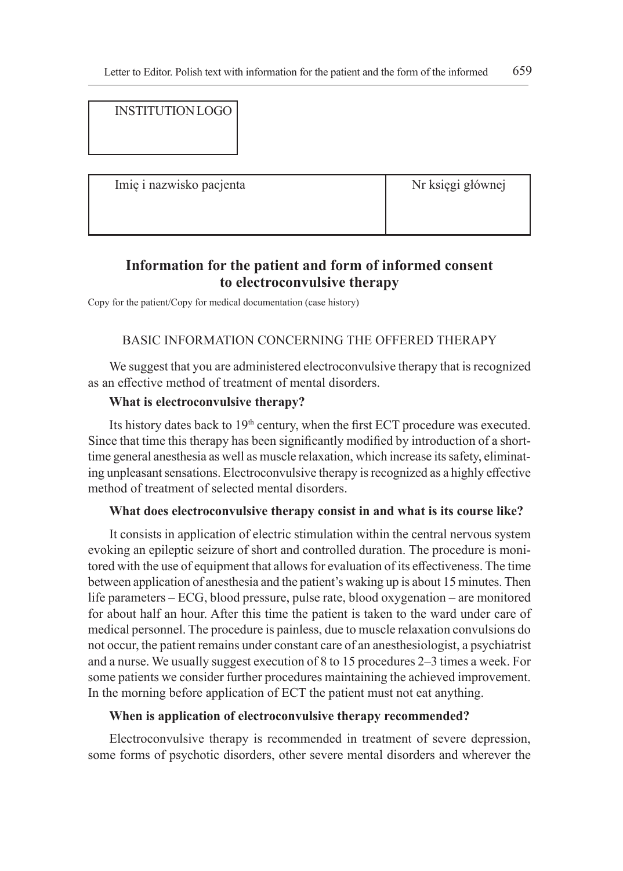# INSTITUTION LOGO

Imię i nazwisko pacjenta Nr księgi głównej

# **Information for the patient and form of informed consent to electroconvulsive therapy**

Copy for the patient/Copy for medical documentation (case history)

## BASIC INFORMATION CONCERNING THE OFFERED THERAPY

We suggest that you are administered electroconvulsive therapy that is recognized as an effective method of treatment of mental disorders.

## **What is electroconvulsive therapy?**

Its history dates back to 19<sup>th</sup> century, when the first ECT procedure was executed. Since that time this therapy has been significantly modified by introduction of a shorttime general anesthesia as well as muscle relaxation, which increase its safety, eliminating unpleasant sensations. Electroconvulsive therapy is recognized as a highly effective method of treatment of selected mental disorders.

### **What does electroconvulsive therapy consist in and what is its course like?**

It consists in application of electric stimulation within the central nervous system evoking an epileptic seizure of short and controlled duration. The procedure is monitored with the use of equipment that allows for evaluation of its effectiveness. The time between application of anesthesia and the patient's waking up is about 15 minutes. Then life parameters – ECG, blood pressure, pulse rate, blood oxygenation – are monitored for about half an hour. After this time the patient is taken to the ward under care of medical personnel. The procedure is painless, due to muscle relaxation convulsions do not occur, the patient remains under constant care of an anesthesiologist, a psychiatrist and a nurse. We usually suggest execution of 8 to 15 procedures 2–3 times a week. For some patients we consider further procedures maintaining the achieved improvement. In the morning before application of ECT the patient must not eat anything.

## **When is application of electroconvulsive therapy recommended?**

Electroconvulsive therapy is recommended in treatment of severe depression, some forms of psychotic disorders, other severe mental disorders and wherever the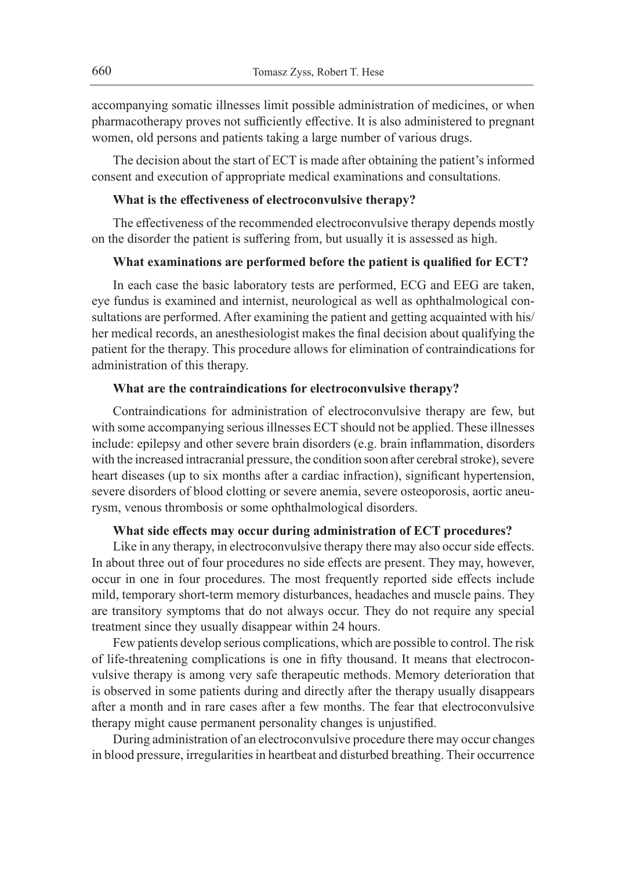accompanying somatic illnesses limit possible administration of medicines, or when pharmacotherapy proves not sufficiently effective. It is also administered to pregnant women, old persons and patients taking a large number of various drugs.

The decision about the start of ECT is made after obtaining the patient's informed consent and execution of appropriate medical examinations and consultations.

#### **What is the effectiveness of electroconvulsive therapy?**

The effectiveness of the recommended electroconvulsive therapy depends mostly on the disorder the patient is suffering from, but usually it is assessed as high.

### **What examinations are performed before the patient is qualified for ECT?**

In each case the basic laboratory tests are performed, ECG and EEG are taken, eye fundus is examined and internist, neurological as well as ophthalmological consultations are performed. After examining the patient and getting acquainted with his/ her medical records, an anesthesiologist makes the final decision about qualifying the patient for the therapy. This procedure allows for elimination of contraindications for administration of this therapy.

### **What are the contraindications for electroconvulsive therapy?**

Contraindications for administration of electroconvulsive therapy are few, but with some accompanying serious illnesses ECT should not be applied. These illnesses include: epilepsy and other severe brain disorders (e.g. brain inflammation, disorders with the increased intracranial pressure, the condition soon after cerebral stroke), severe heart diseases (up to six months after a cardiac infraction), significant hypertension, severe disorders of blood clotting or severe anemia, severe osteoporosis, aortic aneurysm, venous thrombosis or some ophthalmological disorders.

#### **What side effects may occur during administration of ECT procedures?**

Like in any therapy, in electroconvulsive therapy there may also occur side effects. In about three out of four procedures no side effects are present. They may, however, occur in one in four procedures. The most frequently reported side effects include mild, temporary short-term memory disturbances, headaches and muscle pains. They are transitory symptoms that do not always occur. They do not require any special treatment since they usually disappear within 24 hours.

Few patients develop serious complications, which are possible to control. The risk of life-threatening complications is one in fifty thousand. It means that electroconvulsive therapy is among very safe therapeutic methods. Memory deterioration that is observed in some patients during and directly after the therapy usually disappears after a month and in rare cases after a few months. The fear that electroconvulsive therapy might cause permanent personality changes is unjustified.

During administration of an electroconvulsive procedure there may occur changes in blood pressure, irregularities in heartbeat and disturbed breathing. Their occurrence